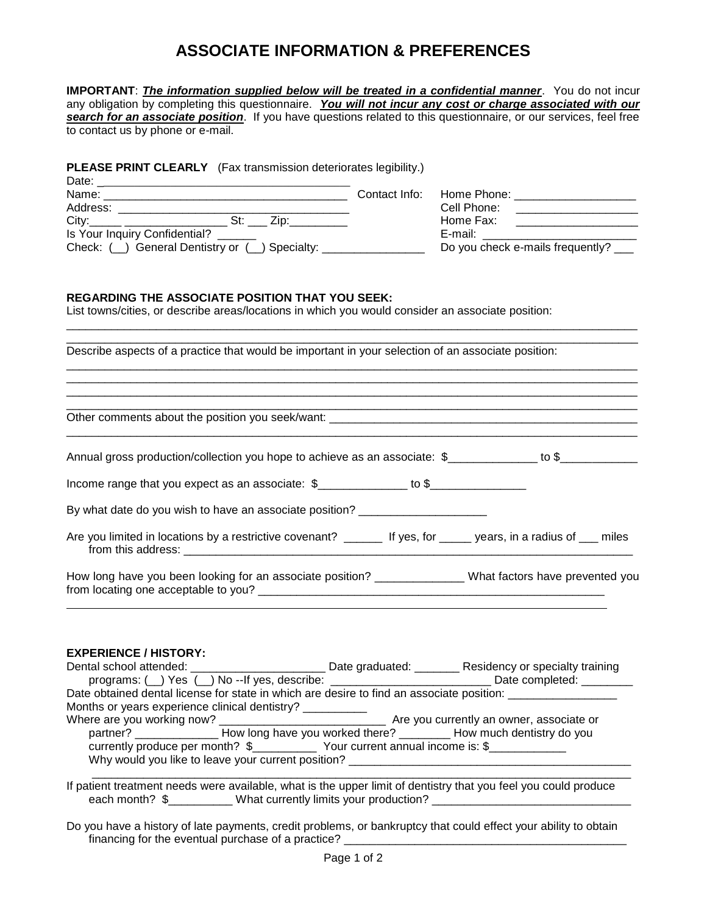## **ASSOCIATE INFORMATION & PREFERENCES**

| IMPORTANT: <i>The information supplied below will be treated in a confidential manner</i> . You do not incur<br>any obligation by completing this questionnaire. You will not incur any cost or charge associated with our<br>search for an associate position. If you have questions related to this questionnaire, or our services, feel free<br>to contact us by phone or e-mail. |  |                                                         |                                                                                                         |  |  |
|--------------------------------------------------------------------------------------------------------------------------------------------------------------------------------------------------------------------------------------------------------------------------------------------------------------------------------------------------------------------------------------|--|---------------------------------------------------------|---------------------------------------------------------------------------------------------------------|--|--|
| <b>PLEASE PRINT CLEARLY</b> (Fax transmission deteriorates legibility.)<br>Is Your Inquiry Confidential?<br>Check: (_) General Dentistry or (_) Specialty: ________________                                                                                                                                                                                                          |  | Home Phone: _____________________<br>E-mail: __________ | Cell Phone: _____________________<br>Home Fax: ____________________<br>Do you check e-mails frequently? |  |  |
| <b>REGARDING THE ASSOCIATE POSITION THAT YOU SEEK:</b><br>List towns/cities, or describe areas/locations in which you would consider an associate position:<br>Describe aspects of a practice that would be important in your selection of an associate position:                                                                                                                    |  |                                                         |                                                                                                         |  |  |
|                                                                                                                                                                                                                                                                                                                                                                                      |  |                                                         |                                                                                                         |  |  |
| Annual gross production/collection you hope to achieve as an associate: \$______________ to \$_____________                                                                                                                                                                                                                                                                          |  |                                                         |                                                                                                         |  |  |
| Income range that you expect as an associate: \$_____________ to \$_______________                                                                                                                                                                                                                                                                                                   |  |                                                         |                                                                                                         |  |  |
| By what date do you wish to have an associate position? ________________________                                                                                                                                                                                                                                                                                                     |  |                                                         |                                                                                                         |  |  |
| Are you limited in locations by a restrictive covenant? _______ If yes, for _____ years, in a radius of ___ miles                                                                                                                                                                                                                                                                    |  |                                                         |                                                                                                         |  |  |
| How long have you been looking for an associate position? _______________ What factors have prevented you                                                                                                                                                                                                                                                                            |  |                                                         |                                                                                                         |  |  |
| <b>EXPERIENCE / HISTORY:</b>                                                                                                                                                                                                                                                                                                                                                         |  |                                                         |                                                                                                         |  |  |

| programs: ( ) Yes ( ) No -- If yes, describe: ___________________________________ Date completed: _______ |  |  |  |  |
|-----------------------------------------------------------------------------------------------------------|--|--|--|--|
| Date obtained dental license for state in which are desire to find an associate position:                 |  |  |  |  |
| Months or years experience clinical dentistry? ___________                                                |  |  |  |  |
|                                                                                                           |  |  |  |  |
| partner? ______________________How long have you worked there? _______________How much dentistry do you   |  |  |  |  |
| currently produce per month? \$_______________ Your current annual income is: \$______________            |  |  |  |  |
| Why would you like to leave your current position?                                                        |  |  |  |  |
|                                                                                                           |  |  |  |  |

If patient treatment needs were available, what is the upper limit of dentistry that you feel you could produce each month? \$\_\_\_\_\_\_\_\_\_\_ What currently limits your production? \_\_\_\_\_\_\_\_\_\_\_\_\_\_\_\_\_\_

Do you have a history of late payments, credit problems, or bankruptcy that could effect your ability to obtain financing for the eventual purchase of a practice?